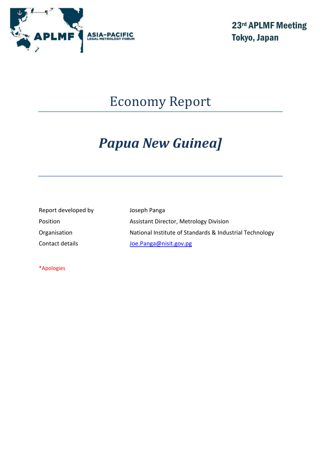

23rd APLMF Meeting Tokyo, Japan

## Economy Report

# *Papua New Guinea]*

Report developed by Joseph Panga

Position **Assistant Director, Metrology Division** Organisation Mational Institute of Standards & Industrial Technology Contact details and *[Joe.Panga@nisit.gov.pg](mailto:Joe.Panga@nisit.gov.pg)* 

\*Apologies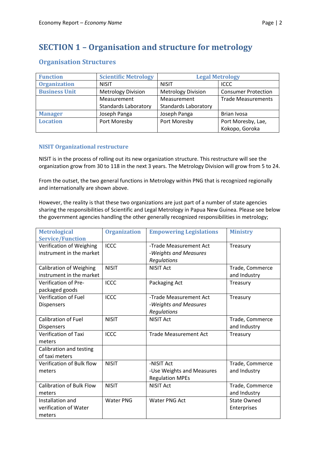## **SECTION 1 – Organisation and structure for metrology**

| <b>Function</b>      | <b>Scientific Metrology</b> | <b>Legal Metrology</b>      |                            |
|----------------------|-----------------------------|-----------------------------|----------------------------|
| <b>Organization</b>  | <b>NISIT</b>                | <b>NISIT</b>                | <b>ICCC</b>                |
| <b>Business Unit</b> | <b>Metrology Division</b>   | <b>Metrology Division</b>   | <b>Consumer Protection</b> |
|                      | Measurement                 | Measurement                 | <b>Trade Measurements</b>  |
|                      | <b>Standards Laboratory</b> | <b>Standards Laboratory</b> |                            |
| <b>Manager</b>       | Joseph Panga                | Joseph Panga                | Brian Ivosa                |
| <b>Location</b>      | Port Moresby                | Port Moresby                | Port Moresby, Lae,         |
|                      |                             |                             | Kokopo, Goroka             |

#### **NISIT Organizational restructure**

NISIT is in the process of rolling out its new organization structure. This restructure will see the organization grow from 30 to 118 in the next 3 years. The Metrology Division will grow from 5 to 24.

From the outset, the two general functions in Metrology within PNG that is recognized regionally and internationally are shown above.

However, the reality is that these two organizations are just part of a number of state agencies sharing the responsibilities of Scientific and Legal Metrology in Papua New Guinea. Please see below the government agencies handling the other generally recognized responsibilities in metrology;

| <b>Metrological</b>             | <b>Organization</b> | <b>Empowering Legislations</b> | <b>Ministry</b>    |
|---------------------------------|---------------------|--------------------------------|--------------------|
| <b>Service/Function</b>         |                     |                                |                    |
| Verification of Weighing        | <b>ICCC</b>         | -Trade Measurement Act         | Treasury           |
| instrument in the market        |                     | -Weights and Measures          |                    |
|                                 |                     | Regulations                    |                    |
| <b>Calibration of Weighing</b>  | <b>NISIT</b>        | <b>NISIT Act</b>               | Trade, Commerce    |
| instrument in the market        |                     |                                | and Industry       |
| Verification of Pre-            | <b>ICCC</b>         | Packaging Act                  | Treasury           |
| packaged goods                  |                     |                                |                    |
| <b>Verification of Fuel</b>     | <b>ICCC</b>         | -Trade Measurement Act         | Treasury           |
| <b>Dispensers</b>               |                     | -Weights and Measures          |                    |
|                                 |                     | Regulations                    |                    |
| <b>Calibration of Fuel</b>      | <b>NISIT</b>        | <b>NISIT Act</b>               | Trade, Commerce    |
| <b>Dispensers</b>               |                     |                                | and Industry       |
| <b>Verification of Taxi</b>     | <b>ICCC</b>         | <b>Trade Measurement Act</b>   | Treasury           |
| meters                          |                     |                                |                    |
| Calibration and testing         |                     |                                |                    |
| of taxi meters                  |                     |                                |                    |
| Verification of Bulk flow       | <b>NISIT</b>        | -NISIT Act                     | Trade, Commerce    |
| meters                          |                     | -Use Weights and Measures      | and Industry       |
|                                 |                     | <b>Regulation MPEs</b>         |                    |
| <b>Calibration of Bulk Flow</b> | <b>NISIT</b>        | <b>NISIT Act</b>               | Trade, Commerce    |
| meters                          |                     |                                | and Industry       |
| Installation and                | <b>Water PNG</b>    | <b>Water PNG Act</b>           | <b>State Owned</b> |
| verification of Water           |                     |                                | Enterprises        |
| meters                          |                     |                                |                    |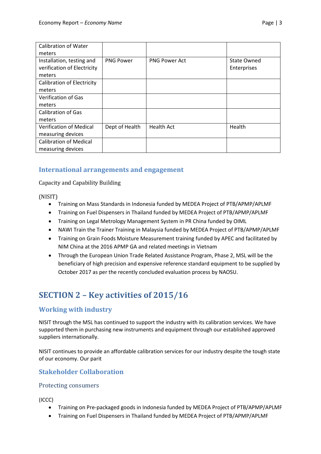| <b>Calibration of Water</b><br>meters                              |                  |                      |                                   |
|--------------------------------------------------------------------|------------------|----------------------|-----------------------------------|
| Installation, testing and<br>verification of Electricity<br>meters | <b>PNG Power</b> | <b>PNG Power Act</b> | <b>State Owned</b><br>Enterprises |
| <b>Calibration of Electricity</b><br>meters                        |                  |                      |                                   |
| <b>Verification of Gas</b><br>meters                               |                  |                      |                                   |
| <b>Calibration of Gas</b><br>meters                                |                  |                      |                                   |
| <b>Verification of Medical</b><br>measuring devices                | Dept of Health   | <b>Health Act</b>    | Health                            |
| <b>Calibration of Medical</b><br>measuring devices                 |                  |                      |                                   |

#### **International arrangements and engagement**

Capacity and Capability Building

(NISIT)

- Training on Mass Standards in Indonesia funded by MEDEA Project of PTB/APMP/APLMF
- Training on Fuel Dispensers in Thailand funded by MEDEA Project of PTB/APMP/APLMF
- Training on Legal Metrology Management System in PR China funded by OIML
- NAWI Train the Trainer Training in Malaysia funded by MEDEA Project of PTB/APMP/APLMF
- Training on Grain Foods Moisture Measurement training funded by APEC and facilitated by NIM China at the 2016 APMP GA and related meetings in Vietnam
- Through the European Union Trade Related Assistance Program, Phase 2, MSL will be the beneficiary of high precision and expensive reference standard equipment to be supplied by October 2017 as per the recently concluded evaluation process by NAOSU.

## **SECTION 2 – Key activities of 2015/16**

#### **Working with industry**

NISIT through the MSL has continued to support the industry with its calibration services. We have supported them in purchasing new instruments and equipment through our established approved suppliers internationally.

NISIT continues to provide an affordable calibration services for our industry despite the tough state of our economy. Our parit

#### **Stakeholder Collaboration**

#### Protecting consumers

(ICCC)

- Training on Pre-packaged goods in Indonesia funded by MEDEA Project of PTB/APMP/APLMF
- Training on Fuel Dispensers in Thailand funded by MEDEA Project of PTB/APMP/APLMF